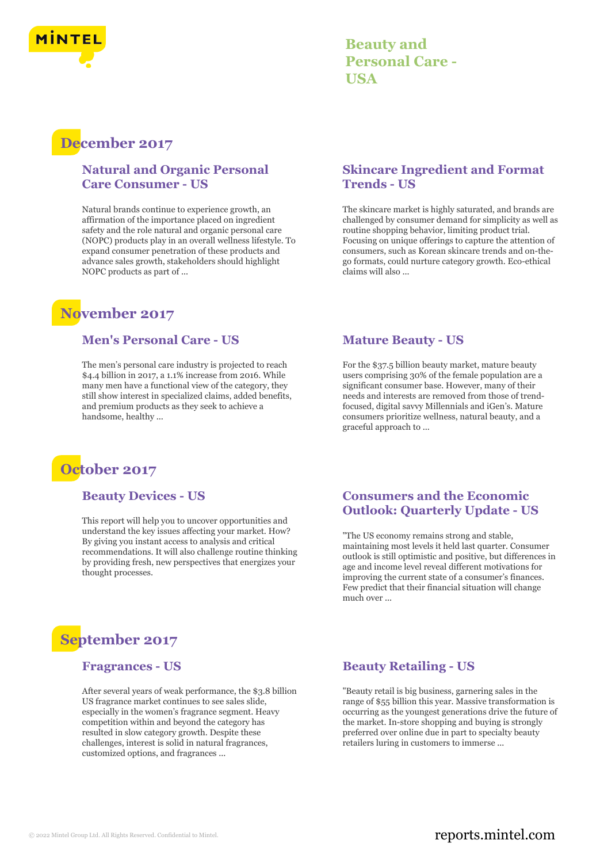

### **Beauty and Personal Care - USA**

# **December 2017**

### **Natural and Organic Personal Care Consumer - US**

Natural brands continue to experience growth, an affirmation of the importance placed on ingredient safety and the role natural and organic personal care (NOPC) products play in an overall wellness lifestyle. To expand consumer penetration of these products and advance sales growth, stakeholders should highlight NOPC products as part of ...

## **November 2017**

### **Men's Personal Care - US**

The men's personal care industry is projected to reach \$4.4 billion in 2017, a 1.1% increase from 2016. While many men have a functional view of the category, they still show interest in specialized claims, added benefits, and premium products as they seek to achieve a handsome, healthy ...



### **Beauty Devices - US**

This report will help you to uncover opportunities and understand the key issues affecting your market. How? By giving you instant access to analysis and critical recommendations. It will also challenge routine thinking by providing fresh, new perspectives that energizes your thought processes.

# **September 2017**

### **Fragrances - US**

After several years of weak performance, the \$3.8 billion US fragrance market continues to see sales slide, especially in the women's fragrance segment. Heavy competition within and beyond the category has resulted in slow category growth. Despite these challenges, interest is solid in natural fragrances, customized options, and fragrances ...

### **Skincare Ingredient and Format Trends - US**

The skincare market is highly saturated, and brands are challenged by consumer demand for simplicity as well as routine shopping behavior, limiting product trial. Focusing on unique offerings to capture the attention of consumers, such as Korean skincare trends and on-thego formats, could nurture category growth. Eco-ethical claims will also ...

### **Mature Beauty - US**

For the \$37.5 billion beauty market, mature beauty users comprising 30% of the female population are a significant consumer base. However, many of their needs and interests are removed from those of trendfocused, digital savvy Millennials and iGen's. Mature consumers prioritize wellness, natural beauty, and a graceful approach to ...

### **Consumers and the Economic Outlook: Quarterly Update - US**

"The US economy remains strong and stable, maintaining most levels it held last quarter. Consumer outlook is still optimistic and positive, but differences in age and income level reveal different motivations for improving the current state of a consumer's finances. Few predict that their financial situation will change much over ...

### **Beauty Retailing - US**

"Beauty retail is big business, garnering sales in the range of \$55 billion this year. Massive transformation is occurring as the youngest generations drive the future of the market. In-store shopping and buying is strongly preferred over online due in part to specialty beauty retailers luring in customers to immerse ...

### © 2022 Mintel Group Ltd. All Rights Reserved. Confidential to Mintel.  $\blacksquare$  reports.mintel.com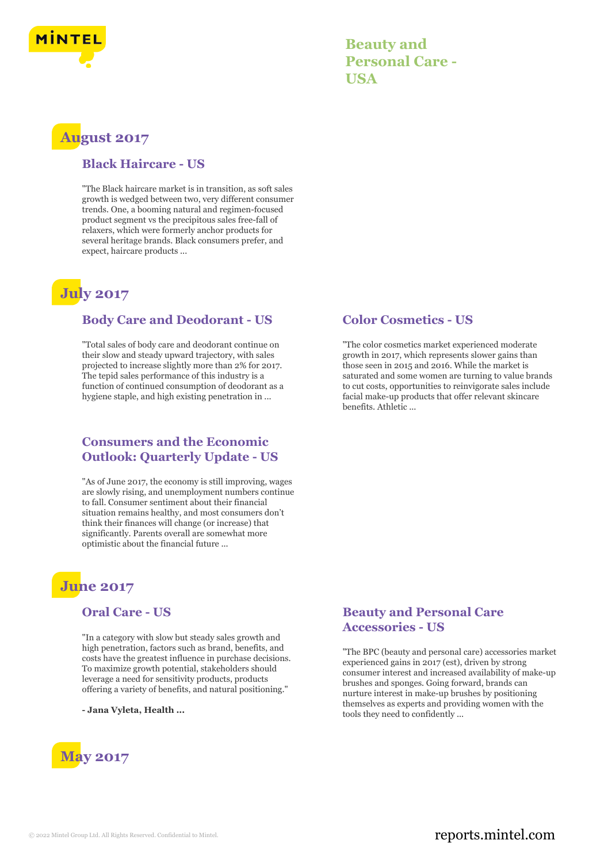

### **Beauty and Personal Care - USA**

## **August 2017**

### **Black Haircare - US**

"The Black haircare market is in transition, as soft sales growth is wedged between two, very different consumer trends. One, a booming natural and regimen-focused product segment vs the precipitous sales free-fall of relaxers, which were formerly anchor products for several heritage brands. Black consumers prefer, and expect, haircare products ...

### **July 2017**

### **Body Care and Deodorant - US**

"Total sales of body care and deodorant continue on their slow and steady upward trajectory, with sales projected to increase slightly more than 2% for 2017. The tepid sales performance of this industry is a function of continued consumption of deodorant as a hygiene staple, and high existing penetration in ...

### **Consumers and the Economic Outlook: Quarterly Update - US**

"As of June 2017, the economy is still improving, wages are slowly rising, and unemployment numbers continue to fall. Consumer sentiment about their financial situation remains healthy, and most consumers don't think their finances will change (or increase) that significantly. Parents overall are somewhat more optimistic about the financial future ...

### **June 2017**

### **Oral Care - US**

"In a category with slow but steady sales growth and high penetration, factors such as brand, benefits, and costs have the greatest influence in purchase decisions. To maximize growth potential, stakeholders should leverage a need for sensitivity products, products offering a variety of benefits, and natural positioning."

**- Jana Vyleta, Health ...**



### **Color Cosmetics - US**

"The color cosmetics market experienced moderate growth in 2017, which represents slower gains than those seen in 2015 and 2016. While the market is saturated and some women are turning to value brands to cut costs, opportunities to reinvigorate sales include facial make-up products that offer relevant skincare benefits. Athletic ...

### **Beauty and Personal Care Accessories - US**

"The BPC (beauty and personal care) accessories market experienced gains in 2017 (est), driven by strong consumer interest and increased availability of make-up brushes and sponges. Going forward, brands can nurture interest in make-up brushes by positioning themselves as experts and providing women with the tools they need to confidently ...

### © 2022 Mintel Group Ltd. All Rights Reserved. Confidential to Mintel.  $\blacksquare$  reports.mintel.com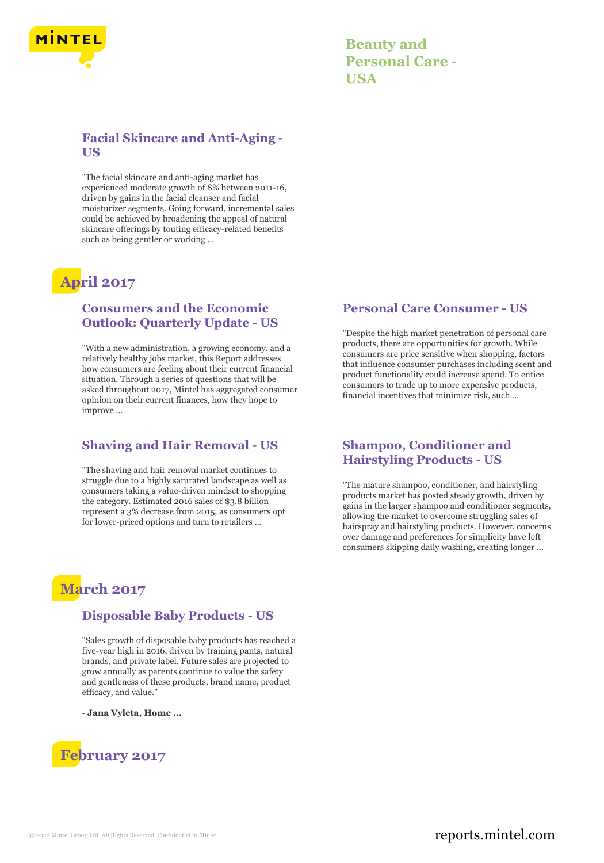

| <b>Beauty and</b>      |
|------------------------|
| <b>Personal Care -</b> |
| USA                    |

### **Facial Skincare and Anti-Aging - US**

"The facial skincare and anti-aging market has experienced moderate growth of 8% between 2011-16, driven by gains in the facial cleanser and facial moisturizer segments. Going forward, incremental sales could be achieved by broadening the appeal of natural skincare offerings by touting efficacy-related benefits such as being gentler or working ...

# **April 2017**

### **Consumers and the Economic Outlook: Quarterly Update - US**

"With a new administration, a growing economy, and a relatively healthy jobs market, this Report addresses how consumers are feeling about their current financial situation. Through a series of questions that will be asked throughout 2017, Mintel has aggregated consumer opinion on their current finances, how they hope to improve ...

### **Shaving and Hair Removal - US**

"The shaving and hair removal market continues to struggle due to a highly saturated landscape as well as consumers taking a value-driven mindset to shopping the category. Estimated 2016 sales of \$3.8 billion represent a 3% decrease from 2015, as consumers opt for lower-priced options and turn to retailers ...

# **March 2017**

### **Disposable Baby Products - US**

"Sales growth of disposable baby products has reached a five-year high in 2016, driven by training pants, natural brands, and private label. Future sales are projected to grow annually as parents continue to value the safety and gentleness of these products, brand name, product efficacy, and value."

**- Jana Vyleta, Home ...**



### **Personal Care Consumer - US**

"Despite the high market penetration of personal care products, there are opportunities for growth. While consumers are price sensitive when shopping, factors that influence consumer purchases including scent and product functionality could increase spend. To entice consumers to trade up to more expensive products, financial incentives that minimize risk, such ...

### **Shampoo, Conditioner and Hairstyling Products - US**

"The mature shampoo, conditioner, and hairstyling products market has posted steady growth, driven by gains in the larger shampoo and conditioner segments, allowing the market to overcome struggling sales of hairspray and hairstyling products. However, concerns over damage and preferences for simplicity have left consumers skipping daily washing, creating longer ...